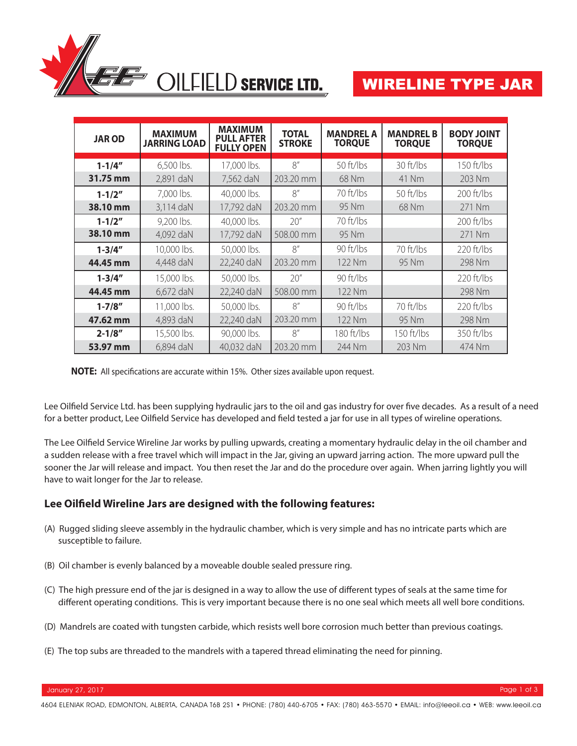

# WIRELINE TYPE JAR

| <b>JAROD</b> | <b>MAXIMUM</b><br><b>JARRING LOAD</b> | <b>MAXIMUM</b><br><b>PULL AFTER</b><br><b>FULLY OPEN</b> | <b>TOTAL</b><br><b>STROKE</b> | <b>MANDREL A</b><br><b>TORQUE</b> | <b>MANDREL B</b><br><b>TORQUE</b> | <b>BODY JOINT</b><br><b>TORQUE</b> |
|--------------|---------------------------------------|----------------------------------------------------------|-------------------------------|-----------------------------------|-----------------------------------|------------------------------------|
| $1 - 1/4''$  | 6,500 lbs.                            | 17,000 lbs.                                              | 8''                           | 50 ft/lbs                         | 30 ft/lbs                         | $150$ ft/lbs                       |
| 31.75 mm     | 2,891 daN                             | 7,562 daN                                                | 203.20 mm                     | 68 Nm                             | 41 Nm                             | 203 Nm                             |
| $1 - 1/2"$   | 7,000 lbs.                            | 40,000 lbs.                                              | R''                           | $70$ ft/lbs                       | $50$ ft/lbs                       | $200$ ft/lbs                       |
| 38.10 mm     | 3,114 daN                             | 17,792 daN                                               | 203.20 mm                     | 95 Nm                             | 68 Nm                             | 271 Nm                             |
| $1 - 1/2"$   | 9,200 lbs.                            | 40,000 lbs.                                              | 20''                          | 70 ft/lbs                         |                                   | $200$ ft/lbs                       |
| 38.10 mm     | 4,092 daN                             | 17,792 daN                                               | 508.00 mm                     | 95 Nm                             |                                   | 271 Nm                             |
| $1 - 3/4"$   | 10,000 lbs.                           | 50,000 lbs.                                              | 8''                           | 90 ft/lbs                         | 70 ft/lbs                         | $220 \frac{\text{ft}}{\text{bs}}$  |
| 44.45 mm     | 4,448 daN                             | 22,240 daN                                               | 203.20 mm                     | 122 Nm                            | 95 Nm                             | 298 Nm                             |
| $1 - 3/4''$  | 15,000 lbs.                           | 50,000 lbs.                                              | 20''                          | $90$ ft/lbs                       |                                   | $220$ ft/lbs                       |
| 44.45 mm     | 6,672 daN                             | 22,240 daN                                               | 508.00 mm                     | 122 Nm                            |                                   | 298 Nm                             |
| $1 - 7/8''$  | 11,000 lbs.                           | 50,000 lbs.                                              | 8''                           | 90 ft/lbs                         | 70 ft/lbs                         | $220 \frac{\text{ft}}{\text{bs}}$  |
| 47.62 mm     | 4,893 daN                             | 22,240 daN                                               | 203.20 mm                     | 122 Nm                            | 95 Nm                             | 298 Nm                             |
| $2 - 1/8''$  | 15,500 lbs.                           | 90,000 lbs.                                              | R''                           | 180 ft/lbs                        | 150 ft/lbs                        | 350 ft/lbs                         |
| 53.97 mm     | 6,894 daN                             | 40,032 daN                                               | 203.20 mm                     | 244 Nm                            | 203 Nm                            | 474 Nm                             |

**NOTE:** All specifications are accurate within 15%. Other sizes available upon request.

Lee Oilfield Service Ltd. has been supplying hydraulic jars to the oil and gas industry for over five decades. As a result of a need for a better product, Lee Oilfield Service has developed and field tested a jar for use in all types of wireline operations.

The Lee Oilfield Service Wireline Jar works by pulling upwards, creating a momentary hydraulic delay in the oil chamber and a sudden release with a free travel which will impact in the Jar, giving an upward jarring action. The more upward pull the sooner the Jar will release and impact. You then reset the Jar and do the procedure over again. When jarring lightly you will have to wait longer for the Jar to release.

#### Lee Oilfield Wireline Jars are designed with the following features:

- (A) Rugged sliding sleeve assembly in the hydraulic chamber, which is very simple and has no intricate parts which are susceptible to failure.
- (B) Oil chamber is evenly balanced by a moveable double sealed pressure ring.
- (C) The high pressure end of the jar is designed in a way to allow the use of different types of seals at the same time for different operating conditions. This is very important because there is no one seal which meets all well bore conditions.
- (D) Mandrels are coated with tungsten carbide, which resists well bore corrosion much better than previous coatings.
- (E) The top subs are threaded to the mandrels with a tapered thread eliminating the need for pinning.

January 27, 2017 Page 1 of 3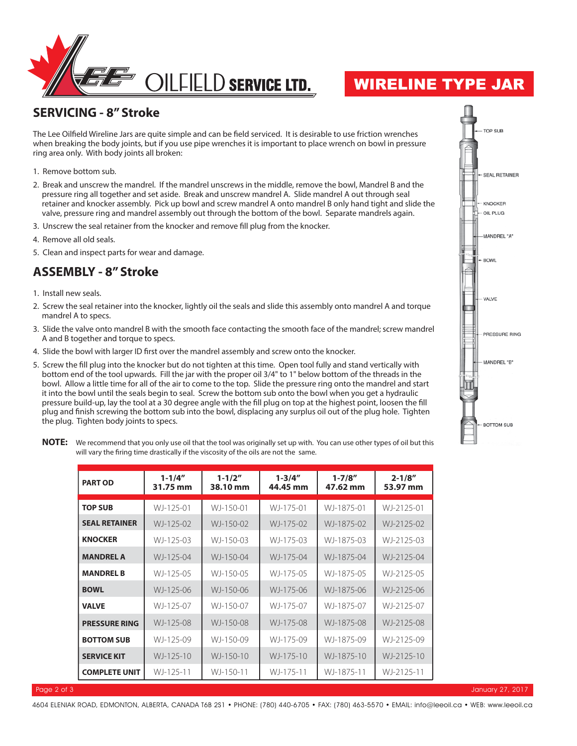

## WIRELINE TYPE JAR

#### **SERVICING - 8" Stroke**

The Lee Oilfield Wireline Jars are quite simple and can be field serviced. It is desirable to use friction wrenches when breaking the body joints, but if you use pipe wrenches it is important to place wrench on bowl in pressure ring area only. With body joints all broken:

- 1. Remove bottom sub.
- 2. Break and unscrew the mandrel. If the mandrel unscrews in the middle, remove the bowl, Mandrel B and the pressure ring all together and set aside. Break and unscrew mandrel A. Slide mandrel A out through seal retainer and knocker assembly. Pick up bowl and screw mandrel A onto mandrel B only hand tight and slide the valve, pressure ring and mandrel assembly out through the bottom of the bowl. Separate mandrels again.
- 3. Unscrew the seal retainer from the knocker and remove fill plug from the knocker.
- 4. Remove all old seals.
- 5. Clean and inspect parts for wear and damage.

### **ASSEMBLY - 8" Stroke**

- 1. Install new seals.
- 2. Screw the seal retainer into the knocker, lightly oil the seals and slide this assembly onto mandrel A and torque mandrel A to specs.
- 3. Slide the valve onto mandrel B with the smooth face contacting the smooth face of the mandrel; screw mandrel A and B together and torque to specs.
- 4. Slide the bowl with larger ID first over the mandrel assembly and screw onto the knocker.
- 5. Screw the fill plug into the knocker but do not tighten at this time. Open tool fully and stand vertically with bottom end of the tool upwards. Fill the jar with the proper oil 3/4" to 1" below bottom of the threads in the bowl. Allow a little time for all of the air to come to the top. Slide the pressure ring onto the mandrel and start it into the bowl until the seals begin to seal. Screw the bottom sub onto the bowl when you get a hydraulic pressure build-up, lay the tool at a 30 degree angle with the fill plug on top at the highest point, loosen the fill plug and finish screwing the bottom sub into the bowl, displacing any surplus oil out of the plug hole. Tighten the plug. Tighten body joints to specs.



**NOTE:** We recommend that you only use oil that the tool was originally set up with. You can use other types of oil but this will vary the firing time drastically if the viscosity of the oils are not the same.

| <b>PART OD</b>       | $1 - 1/4''$<br>31.75 mm | $1 - 1/2"$<br>38.10 mm | $1 - 3/4''$<br>44.45 mm | $1 - 7/8''$<br>47.62 mm | $2 - 1/8''$<br>53.97 mm |
|----------------------|-------------------------|------------------------|-------------------------|-------------------------|-------------------------|
| <b>TOP SUB</b>       | WJ-125-01               | WJ-150-01              | WJ-175-01               | WJ-1875-01              | WJ-2125-01              |
| <b>SEAL RETAINER</b> | WJ-125-02               | WJ-150-02              | WJ-175-02               | WJ-1875-02              | WJ-2125-02              |
| <b>KNOCKER</b>       | WJ-125-03               | WJ-150-03              | WJ-175-03               | WJ-1875-03              | WJ-2125-03              |
| <b>MANDREL A</b>     | WJ-125-04               | WJ-150-04              | WJ-175-04               | WJ-1875-04              | WJ-2125-04              |
| <b>MANDREL B</b>     | WJ-125-05               | WJ-150-05              | WJ-175-05               | WJ-1875-05              | WJ-2125-05              |
| <b>BOWL</b>          | WJ-125-06               | WJ-150-06              | WJ-175-06               | WJ-1875-06              | WJ-2125-06              |
| <b>VALVE</b>         | WJ-125-07               | WJ-150-07              | WJ-175-07               | WJ-1875-07              | WJ-2125-07              |
| <b>PRESSURE RING</b> | WJ-125-08               | WJ-150-08              | WJ-175-08               | WJ-1875-08              | WJ-2125-08              |
| <b>BOTTOM SUB</b>    | WJ-125-09               | WJ-150-09              | WJ-175-09               | WJ-1875-09              | WJ-2125-09              |
| <b>SERVICE KIT</b>   | WJ-125-10               | WJ-150-10              | WJ-175-10               | WJ-1875-10              | WJ-2125-10              |
| <b>COMPLETE UNIT</b> | WJ-125-11               | WJ-150-11              | WJ-175-11               | WJ-1875-11              | WJ-2125-11              |

Page 2 of 3 January 27, 2017